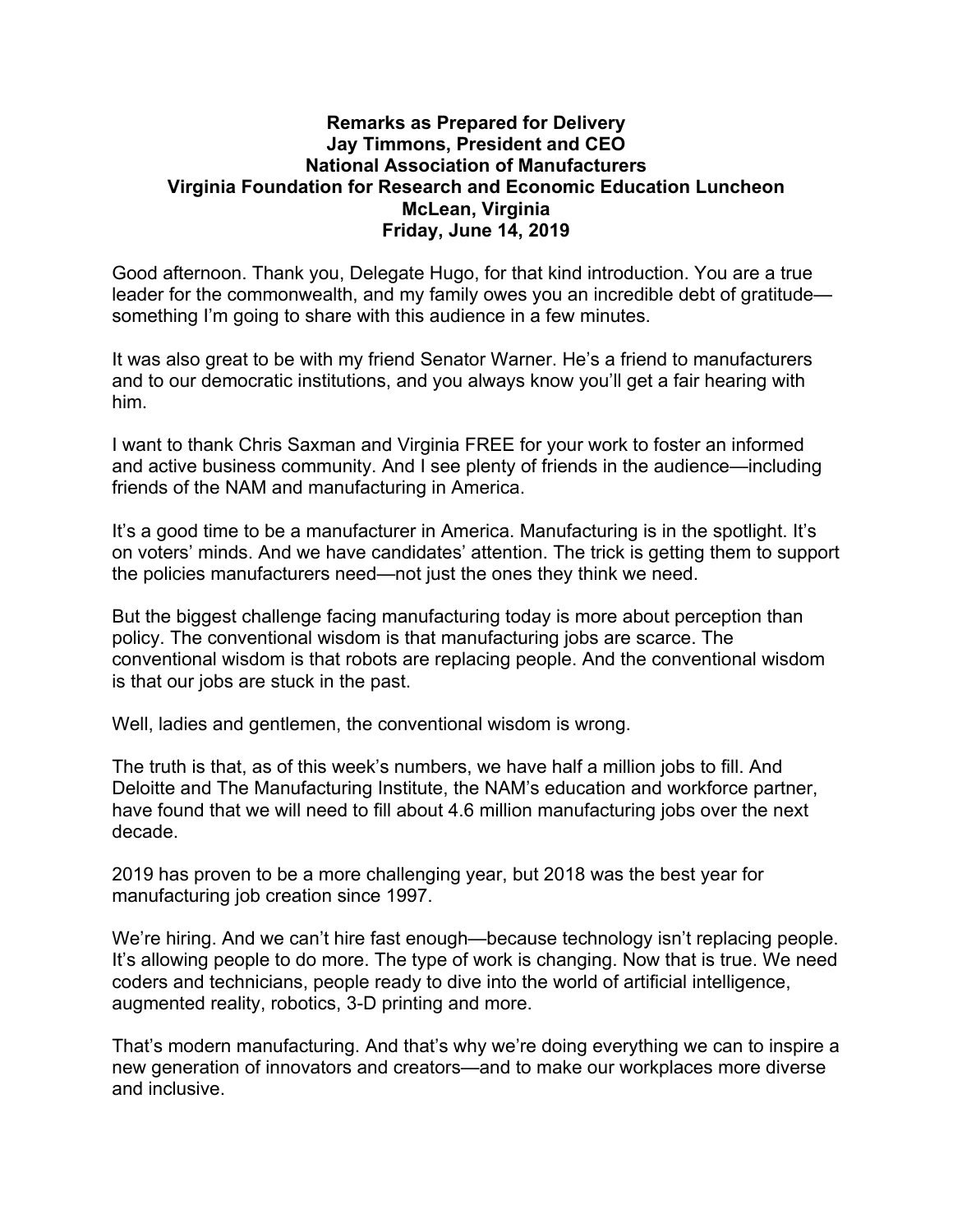## **Remarks as Prepared for Delivery Jay Timmons, President and CEO National Association of Manufacturers Virginia Foundation for Research and Economic Education Luncheon McLean, Virginia Friday, June 14, 2019**

Good afternoon. Thank you, Delegate Hugo, for that kind introduction. You are a true leader for the commonwealth, and my family owes you an incredible debt of gratitude something I'm going to share with this audience in a few minutes.

It was also great to be with my friend Senator Warner. He's a friend to manufacturers and to our democratic institutions, and you always know you'll get a fair hearing with him.

I want to thank Chris Saxman and Virginia FREE for your work to foster an informed and active business community. And I see plenty of friends in the audience—including friends of the NAM and manufacturing in America.

It's a good time to be a manufacturer in America. Manufacturing is in the spotlight. It's on voters' minds. And we have candidates' attention. The trick is getting them to support the policies manufacturers need—not just the ones they think we need.

But the biggest challenge facing manufacturing today is more about perception than policy. The conventional wisdom is that manufacturing jobs are scarce. The conventional wisdom is that robots are replacing people. And the conventional wisdom is that our jobs are stuck in the past.

Well, ladies and gentlemen, the conventional wisdom is wrong.

The truth is that, as of this week's numbers, we have half a million jobs to fill. And Deloitte and The Manufacturing Institute, the NAM's education and workforce partner, have found that we will need to fill about 4.6 million manufacturing jobs over the next decade.

2019 has proven to be a more challenging year, but 2018 was the best year for manufacturing job creation since 1997.

We're hiring. And we can't hire fast enough—because technology isn't replacing people. It's allowing people to do more. The type of work is changing. Now that is true. We need coders and technicians, people ready to dive into the world of artificial intelligence, augmented reality, robotics, 3-D printing and more.

That's modern manufacturing. And that's why we're doing everything we can to inspire a new generation of innovators and creators—and to make our workplaces more diverse and inclusive.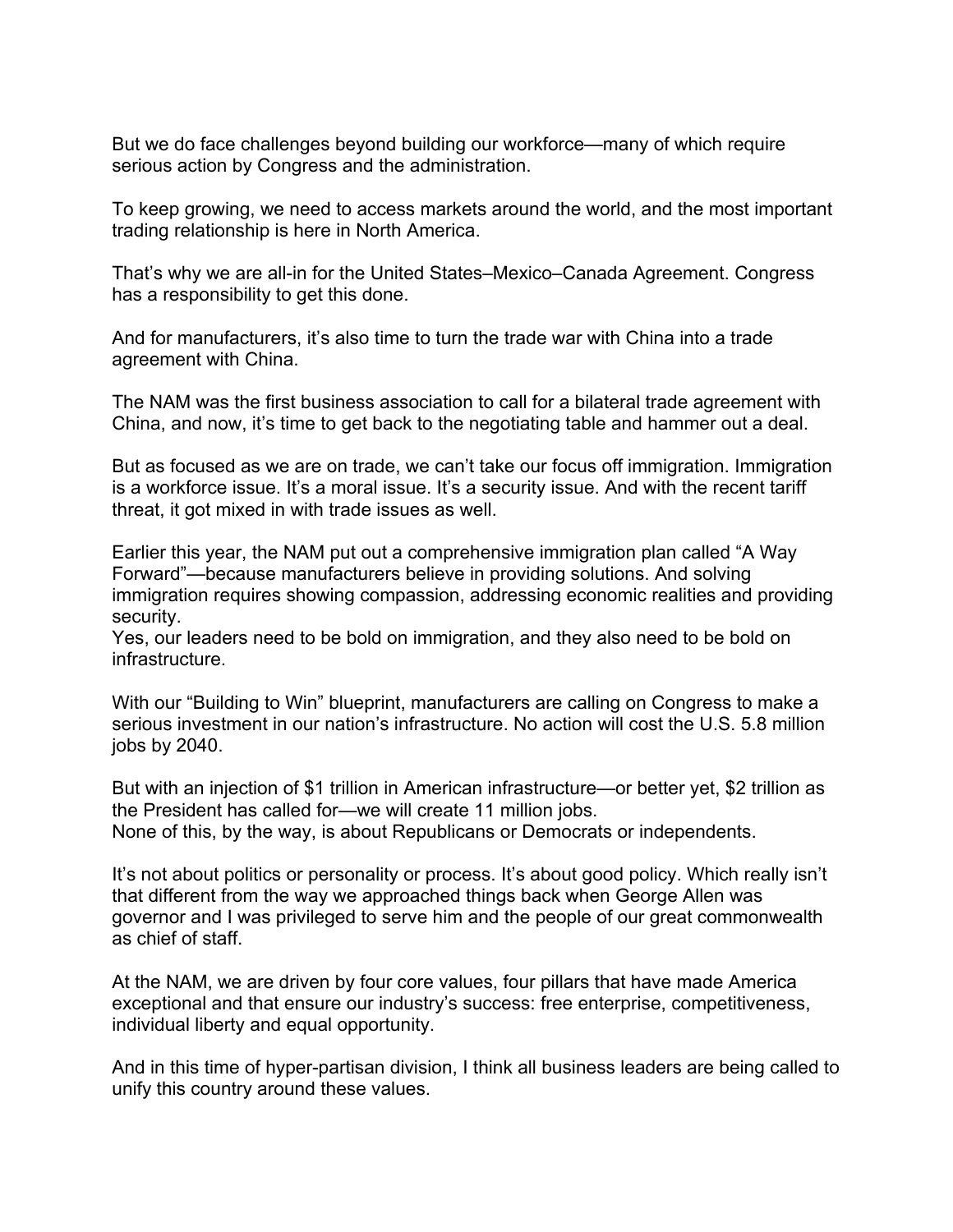But we do face challenges beyond building our workforce—many of which require serious action by Congress and the administration.

To keep growing, we need to access markets around the world, and the most important trading relationship is here in North America.

That's why we are all-in for the United States–Mexico–Canada Agreement. Congress has a responsibility to get this done.

And for manufacturers, it's also time to turn the trade war with China into a trade agreement with China.

The NAM was the first business association to call for a bilateral trade agreement with China, and now, it's time to get back to the negotiating table and hammer out a deal.

But as focused as we are on trade, we can't take our focus off immigration. Immigration is a workforce issue. It's a moral issue. It's a security issue. And with the recent tariff threat, it got mixed in with trade issues as well.

Earlier this year, the NAM put out a comprehensive immigration plan called "A Way Forward"—because manufacturers believe in providing solutions. And solving immigration requires showing compassion, addressing economic realities and providing security.

Yes, our leaders need to be bold on immigration, and they also need to be bold on infrastructure.

With our "Building to Win" blueprint, manufacturers are calling on Congress to make a serious investment in our nation's infrastructure. No action will cost the U.S. 5.8 million jobs by 2040.

But with an injection of \$1 trillion in American infrastructure—or better yet, \$2 trillion as the President has called for—we will create 11 million jobs. None of this, by the way, is about Republicans or Democrats or independents.

It's not about politics or personality or process. It's about good policy. Which really isn't that different from the way we approached things back when George Allen was governor and I was privileged to serve him and the people of our great commonwealth as chief of staff.

At the NAM, we are driven by four core values, four pillars that have made America exceptional and that ensure our industry's success: free enterprise, competitiveness, individual liberty and equal opportunity.

And in this time of hyper-partisan division, I think all business leaders are being called to unify this country around these values.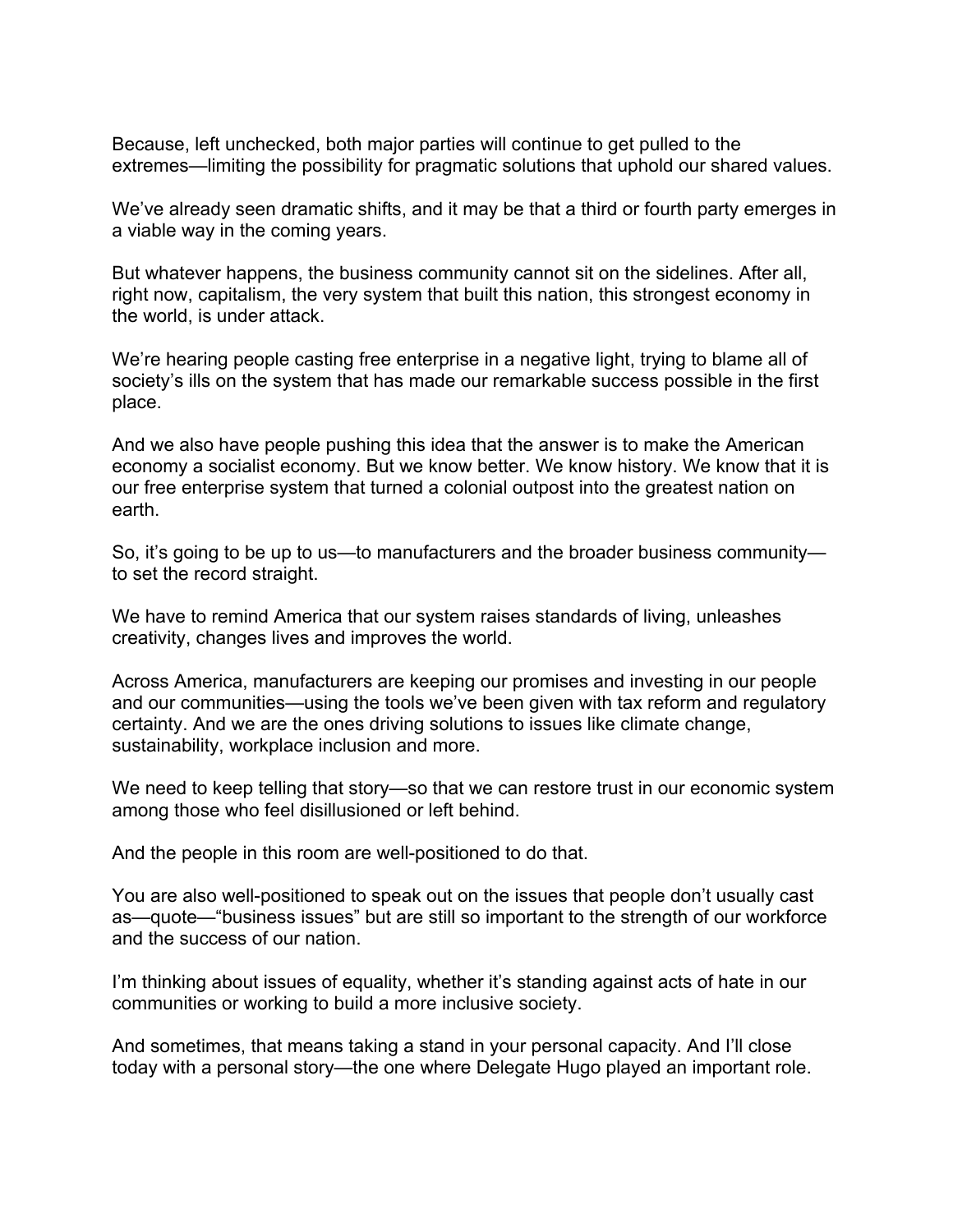Because, left unchecked, both major parties will continue to get pulled to the extremes—limiting the possibility for pragmatic solutions that uphold our shared values.

We've already seen dramatic shifts, and it may be that a third or fourth party emerges in a viable way in the coming years.

But whatever happens, the business community cannot sit on the sidelines. After all, right now, capitalism, the very system that built this nation, this strongest economy in the world, is under attack.

We're hearing people casting free enterprise in a negative light, trying to blame all of society's ills on the system that has made our remarkable success possible in the first place.

And we also have people pushing this idea that the answer is to make the American economy a socialist economy. But we know better. We know history. We know that it is our free enterprise system that turned a colonial outpost into the greatest nation on earth.

So, it's going to be up to us—to manufacturers and the broader business community to set the record straight.

We have to remind America that our system raises standards of living, unleashes creativity, changes lives and improves the world.

Across America, manufacturers are keeping our promises and investing in our people and our communities—using the tools we've been given with tax reform and regulatory certainty. And we are the ones driving solutions to issues like climate change, sustainability, workplace inclusion and more.

We need to keep telling that story—so that we can restore trust in our economic system among those who feel disillusioned or left behind.

And the people in this room are well-positioned to do that.

You are also well-positioned to speak out on the issues that people don't usually cast as—quote—"business issues" but are still so important to the strength of our workforce and the success of our nation.

I'm thinking about issues of equality, whether it's standing against acts of hate in our communities or working to build a more inclusive society.

And sometimes, that means taking a stand in your personal capacity. And I'll close today with a personal story—the one where Delegate Hugo played an important role.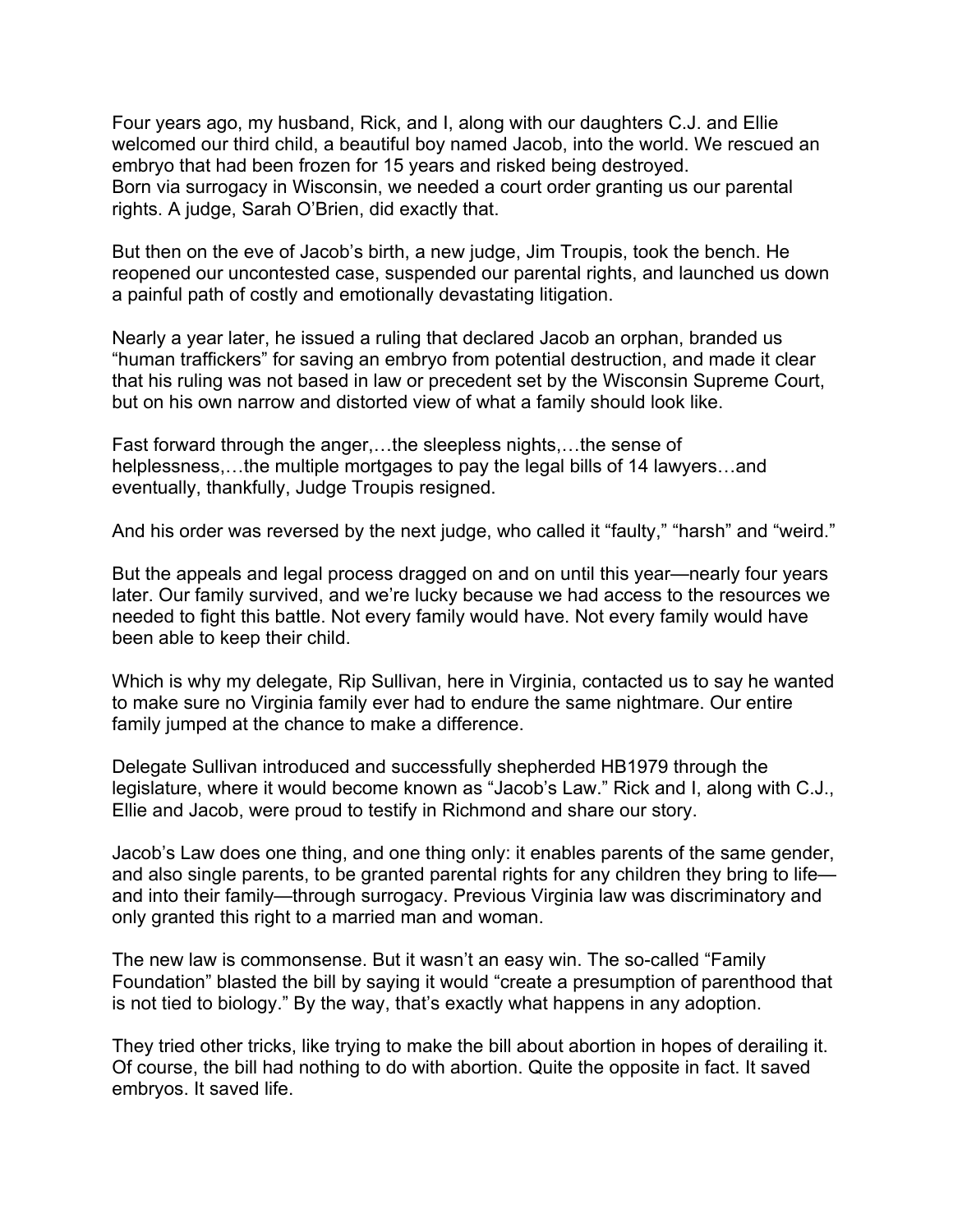Four years ago, my husband, Rick, and I, along with our daughters C.J. and Ellie welcomed our third child, a beautiful boy named Jacob, into the world. We rescued an embryo that had been frozen for 15 years and risked being destroyed. Born via surrogacy in Wisconsin, we needed a court order granting us our parental rights. A judge, Sarah O'Brien, did exactly that.

But then on the eve of Jacob's birth, a new judge, Jim Troupis, took the bench. He reopened our uncontested case, suspended our parental rights, and launched us down a painful path of costly and emotionally devastating litigation.

Nearly a year later, he issued a ruling that declared Jacob an orphan, branded us "human traffickers" for saving an embryo from potential destruction, and made it clear that his ruling was not based in law or precedent set by the Wisconsin Supreme Court, but on his own narrow and distorted view of what a family should look like.

Fast forward through the anger,…the sleepless nights,…the sense of helplessness,…the multiple mortgages to pay the legal bills of 14 lawyers…and eventually, thankfully, Judge Troupis resigned.

And his order was reversed by the next judge, who called it "faulty," "harsh" and "weird."

But the appeals and legal process dragged on and on until this year—nearly four years later. Our family survived, and we're lucky because we had access to the resources we needed to fight this battle. Not every family would have. Not every family would have been able to keep their child.

Which is why my delegate, Rip Sullivan, here in Virginia, contacted us to say he wanted to make sure no Virginia family ever had to endure the same nightmare. Our entire family jumped at the chance to make a difference.

Delegate Sullivan introduced and successfully shepherded HB1979 through the legislature, where it would become known as "Jacob's Law." Rick and I, along with C.J., Ellie and Jacob, were proud to testify in Richmond and share our story.

Jacob's Law does one thing, and one thing only: it enables parents of the same gender, and also single parents, to be granted parental rights for any children they bring to life and into their family—through surrogacy. Previous Virginia law was discriminatory and only granted this right to a married man and woman.

The new law is commonsense. But it wasn't an easy win. The so-called "Family Foundation" blasted the bill by saying it would "create a presumption of parenthood that is not tied to biology." By the way, that's exactly what happens in any adoption.

They tried other tricks, like trying to make the bill about abortion in hopes of derailing it. Of course, the bill had nothing to do with abortion. Quite the opposite in fact. It saved embryos. It saved life.